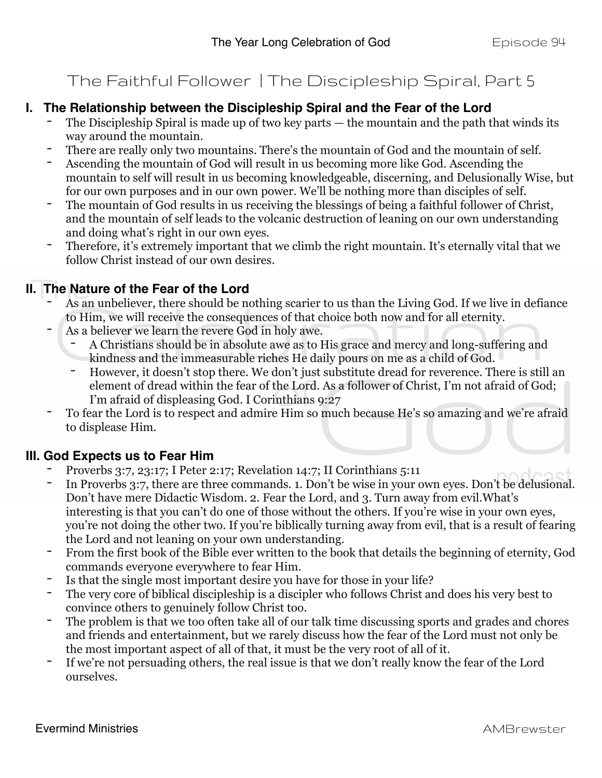### The Faithful Follower | The Discipleship Spiral, Part 5

- **I. The Relationship between the Discipleship Spiral and the Fear of the Lord**<br>The Discipleship Spiral is made up of two key parts the mountain and the path that winds its way around the mountain.
	- There are really only two mountains. There's the mountain of God and the mountain of self.
	- Ascending the mountain of God will result in us becoming more like God. Ascending the mountain to self will result in us becoming knowledgeable, discerning, and Delusionally Wise, but for our own purposes and in our own power. We'll be nothing more than disciples of self.
	- The mountain of God results in us receiving the blessings of being a faithful follower of Christ, and the mountain of self leads to the volcanic destruction of leaning on our own understanding and doing what's right in our own eyes.
	- Therefore, it's extremely important that we climb the right mountain. It's eternally vital that we follow Christ instead of our own desires.

- **II. The Nature of the Fear of the Lord**<br>- As an unbeliever, there should be nothing scarier to us than the Living God. If we live in defiance to Him, we will receive the consequences of that choice both now and for all eternity.
	- As a believer we learn the revere God in holy awe.
		- A Christians should be in absolute awe as to His grace and mercy and long-suffering and kindness and the immeasurable riches He daily pours on me as a child of God.
		- However, it doesn't stop there. We don't just substitute dread for reverence. There is still an element of dread within the fear of the Lord. As a follower of Christ, I'm not afraid of God; I'm afraid of displeasing God. I Corinthians 9:27
	- To fear the Lord is to respect and admire Him so much because He's so amazing and we're afraid to displease Him.

- **III. God Expects us to Fear Him**<br>Proverbs 3:7, 23:17; I Peter 2:17; Revelation 14:7; II Corinthians 5:11
	- In Proverbs 3:7, there are three commands. 1. Don't be wise in your own eyes. Don't be delusional. Don't have mere Didactic Wisdom. 2. Fear the Lord, and 3. Turn away from evil.What's interesting is that you can't do one of those without the others. If you're wise in your own eyes, you're not doing the other two. If you're biblically turning away from evil, that is a result of fearing the Lord and not leaning on your own understanding.
	- From the first book of the Bible ever written to the book that details the beginning of eternity, God commands everyone everywhere to fear Him.
	- Is that the single most important desire you have for those in your life?
	- The very core of biblical discipleship is a discipler who follows Christ and does his very best to convince others to genuinely follow Christ too.
	- The problem is that we too often take all of our talk time discussing sports and grades and chores and friends and entertainment, but we rarely discuss how the fear of the Lord must not only be the most important aspect of all of that, it must be the very root of all of it.
	- If we're not persuading others, the real issue is that we don't really know the fear of the Lord ourselves.